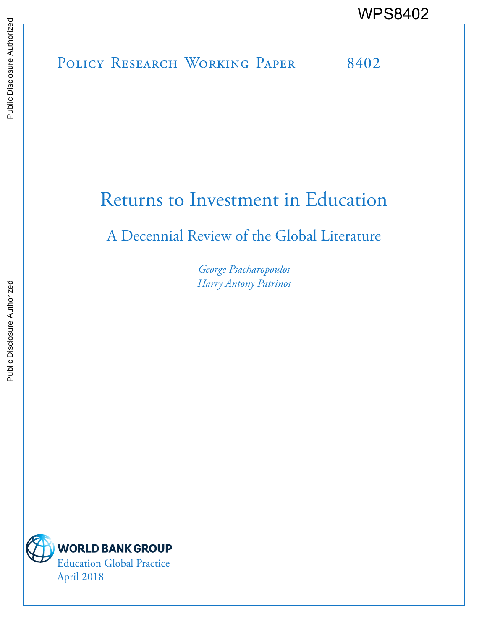# POLICY RESEARCH WORKING PAPER 8402 WPS8402

## Returns to Investment in Education

### A Decennial Review of the Global Literature

*George Psacharopoulos Harry Antony Patrinos*

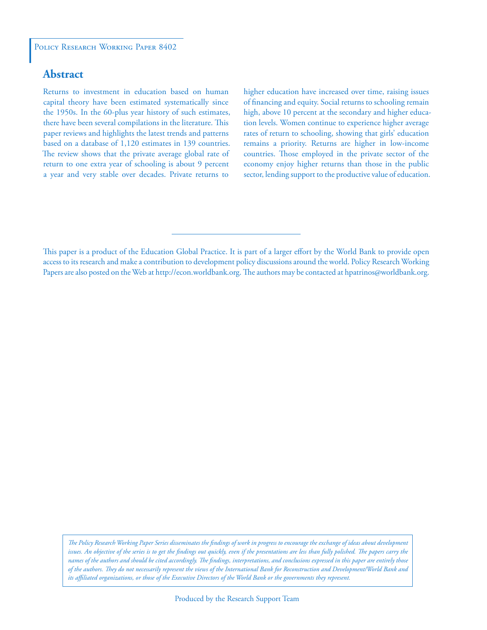#### **Abstract**

Returns to investment in education based on human capital theory have been estimated systematically since the 1950s. In the 60-plus year history of such estimates, there have been several compilations in the literature. This paper reviews and highlights the latest trends and patterns based on a database of 1,120 estimates in 139 countries. The review shows that the private average global rate of return to one extra year of schooling is about 9 percent a year and very stable over decades. Private returns to

higher education have increased over time, raising issues of financing and equity. Social returns to schooling remain high, above 10 percent at the secondary and higher education levels. Women continue to experience higher average rates of return to schooling, showing that girls' education remains a priority. Returns are higher in low-income countries. Those employed in the private sector of the economy enjoy higher returns than those in the public sector, lending support to the productive value of education.

This paper is a product of the Education Global Practice. It is part of a larger effort by the World Bank to provide open access to its research and make a contribution to development policy discussions around the world. Policy Research Working Papers are also posted on the Web at http://econ.worldbank.org. The authors may be contacted at hpatrinos@worldbank.org.

*The Policy Research Working Paper Series disseminates the findings of work in progress to encourage the exchange of ideas about development*  issues. An objective of the series is to get the findings out quickly, even if the presentations are less than fully polished. The papers carry the *names of the authors and should be cited accordingly. The findings, interpretations, and conclusions expressed in this paper are entirely those of the authors. They do not necessarily represent the views of the International Bank for Reconstruction and Development/World Bank and its affiliated organizations, or those of the Executive Directors of the World Bank or the governments they represent.*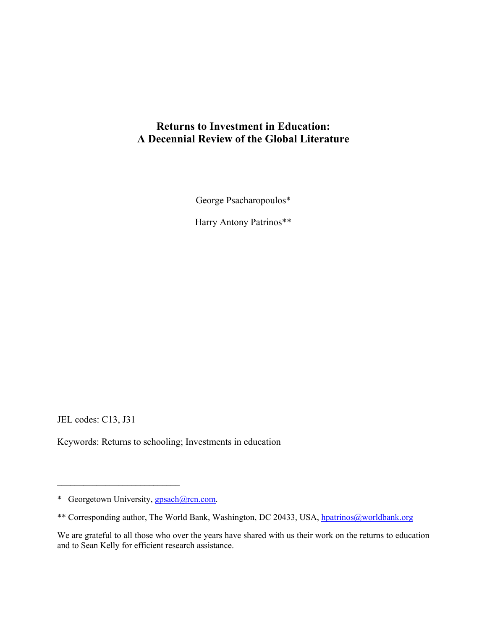#### **Returns to Investment in Education: A Decennial Review of the Global Literature**

George Psacharopoulos\*

Harry Antony Patrinos\*\*

JEL codes: C13, J31

Keywords: Returns to schooling; Investments in education

 $\mathcal{L}_\text{max}$ 

<sup>\*</sup> Georgetown University, gpsach@rcn.com.

<sup>\*\*</sup> Corresponding author, The World Bank, Washington, DC 20433, USA, hpatrinos@worldbank.org

We are grateful to all those who over the years have shared with us their work on the returns to education and to Sean Kelly for efficient research assistance.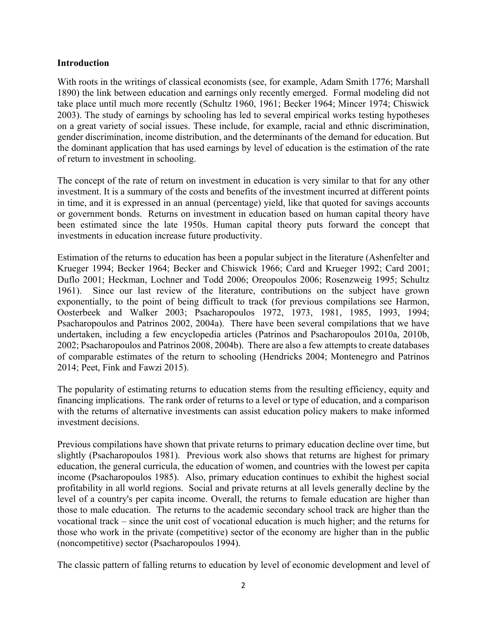#### **Introduction**

With roots in the writings of classical economists (see, for example, Adam Smith 1776; Marshall 1890) the link between education and earnings only recently emerged. Formal modeling did not take place until much more recently (Schultz 1960, 1961; Becker 1964; Mincer 1974; Chiswick 2003). The study of earnings by schooling has led to several empirical works testing hypotheses on a great variety of social issues. These include, for example, racial and ethnic discrimination, gender discrimination, income distribution, and the determinants of the demand for education. But the dominant application that has used earnings by level of education is the estimation of the rate of return to investment in schooling.

The concept of the rate of return on investment in education is very similar to that for any other investment. It is a summary of the costs and benefits of the investment incurred at different points in time, and it is expressed in an annual (percentage) yield, like that quoted for savings accounts or government bonds. Returns on investment in education based on human capital theory have been estimated since the late 1950s. Human capital theory puts forward the concept that investments in education increase future productivity.

Estimation of the returns to education has been a popular subject in the literature (Ashenfelter and Krueger 1994; Becker 1964; Becker and Chiswick 1966; Card and Krueger 1992; Card 2001; Duflo 2001; Heckman, Lochner and Todd 2006; Oreopoulos 2006; Rosenzweig 1995; Schultz 1961). Since our last review of the literature, contributions on the subject have grown exponentially, to the point of being difficult to track (for previous compilations see Harmon, Oosterbeek and Walker 2003; Psacharopoulos 1972, 1973, 1981, 1985, 1993, 1994; Psacharopoulos and Patrinos 2002, 2004a). There have been several compilations that we have undertaken, including a few encyclopedia articles (Patrinos and Psacharopoulos 2010a, 2010b, 2002; Psacharopoulos and Patrinos 2008, 2004b). There are also a few attempts to create databases of comparable estimates of the return to schooling (Hendricks 2004; Montenegro and Patrinos 2014; Peet, Fink and Fawzi 2015).

The popularity of estimating returns to education stems from the resulting efficiency, equity and financing implications. The rank order of returns to a level or type of education, and a comparison with the returns of alternative investments can assist education policy makers to make informed investment decisions.

Previous compilations have shown that private returns to primary education decline over time, but slightly (Psacharopoulos 1981). Previous work also shows that returns are highest for primary education, the general curricula, the education of women, and countries with the lowest per capita income (Psacharopoulos 1985). Also, primary education continues to exhibit the highest social profitability in all world regions. Social and private returns at all levels generally decline by the level of a country's per capita income. Overall, the returns to female education are higher than those to male education. The returns to the academic secondary school track are higher than the vocational track – since the unit cost of vocational education is much higher; and the returns for those who work in the private (competitive) sector of the economy are higher than in the public (noncompetitive) sector (Psacharopoulos 1994).

The classic pattern of falling returns to education by level of economic development and level of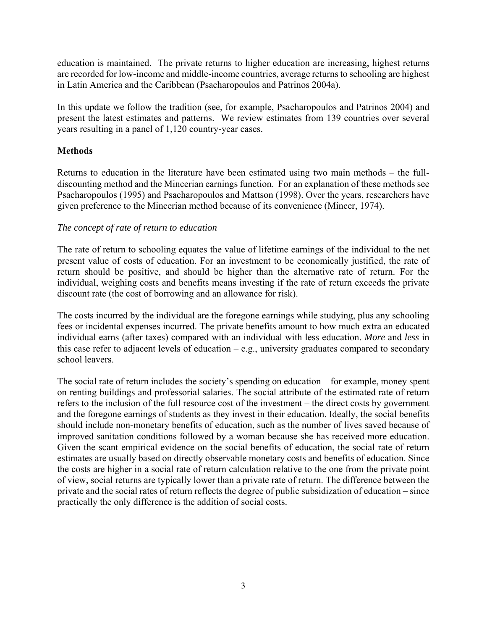education is maintained. The private returns to higher education are increasing, highest returns are recorded for low-income and middle-income countries, average returns to schooling are highest in Latin America and the Caribbean (Psacharopoulos and Patrinos 2004a).

In this update we follow the tradition (see, for example, Psacharopoulos and Patrinos 2004) and present the latest estimates and patterns. We review estimates from 139 countries over several years resulting in a panel of 1,120 country-year cases.

#### **Methods**

Returns to education in the literature have been estimated using two main methods – the fulldiscounting method and the Mincerian earnings function. For an explanation of these methods see Psacharopoulos (1995) and Psacharopoulos and Mattson (1998). Over the years, researchers have given preference to the Mincerian method because of its convenience (Mincer, 1974).

#### *The concept of rate of return to education*

The rate of return to schooling equates the value of lifetime earnings of the individual to the net present value of costs of education. For an investment to be economically justified, the rate of return should be positive, and should be higher than the alternative rate of return. For the individual, weighing costs and benefits means investing if the rate of return exceeds the private discount rate (the cost of borrowing and an allowance for risk).

The costs incurred by the individual are the foregone earnings while studying, plus any schooling fees or incidental expenses incurred. The private benefits amount to how much extra an educated individual earns (after taxes) compared with an individual with less education. *More* and *less* in this case refer to adjacent levels of education  $-e.g.,$  university graduates compared to secondary school leavers.

The social rate of return includes the society's spending on education – for example, money spent on renting buildings and professorial salaries. The social attribute of the estimated rate of return refers to the inclusion of the full resource cost of the investment – the direct costs by government and the foregone earnings of students as they invest in their education. Ideally, the social benefits should include non-monetary benefits of education, such as the number of lives saved because of improved sanitation conditions followed by a woman because she has received more education. Given the scant empirical evidence on the social benefits of education, the social rate of return estimates are usually based on directly observable monetary costs and benefits of education. Since the costs are higher in a social rate of return calculation relative to the one from the private point of view, social returns are typically lower than a private rate of return. The difference between the private and the social rates of return reflects the degree of public subsidization of education – since practically the only difference is the addition of social costs.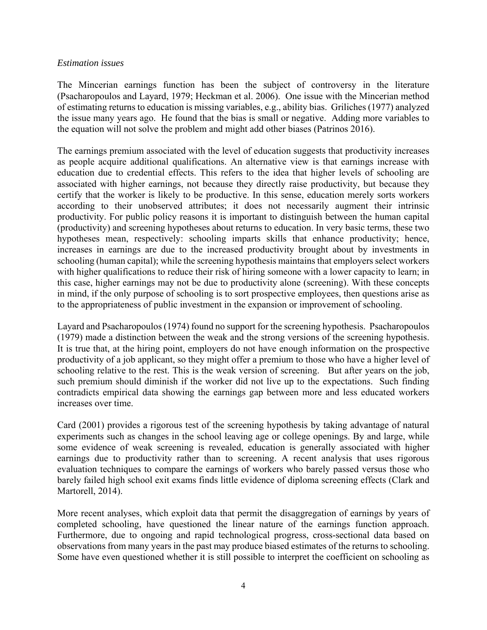#### *Estimation issues*

The Mincerian earnings function has been the subject of controversy in the literature (Psacharopoulos and Layard, 1979; Heckman et al. 2006). One issue with the Mincerian method of estimating returns to education is missing variables, e.g., ability bias. Griliches (1977) analyzed the issue many years ago. He found that the bias is small or negative. Adding more variables to the equation will not solve the problem and might add other biases (Patrinos 2016).

The earnings premium associated with the level of education suggests that productivity increases as people acquire additional qualifications. An alternative view is that earnings increase with education due to credential effects. This refers to the idea that higher levels of schooling are associated with higher earnings, not because they directly raise productivity, but because they certify that the worker is likely to be productive. In this sense, education merely sorts workers according to their unobserved attributes; it does not necessarily augment their intrinsic productivity. For public policy reasons it is important to distinguish between the human capital (productivity) and screening hypotheses about returns to education. In very basic terms, these two hypotheses mean, respectively: schooling imparts skills that enhance productivity; hence, increases in earnings are due to the increased productivity brought about by investments in schooling (human capital); while the screening hypothesis maintains that employers select workers with higher qualifications to reduce their risk of hiring someone with a lower capacity to learn; in this case, higher earnings may not be due to productivity alone (screening). With these concepts in mind, if the only purpose of schooling is to sort prospective employees, then questions arise as to the appropriateness of public investment in the expansion or improvement of schooling.

Layard and Psacharopoulos (1974) found no support for the screening hypothesis. Psacharopoulos (1979) made a distinction between the weak and the strong versions of the screening hypothesis. It is true that, at the hiring point, employers do not have enough information on the prospective productivity of a job applicant, so they might offer a premium to those who have a higher level of schooling relative to the rest. This is the weak version of screening. But after years on the job, such premium should diminish if the worker did not live up to the expectations. Such finding contradicts empirical data showing the earnings gap between more and less educated workers increases over time.

Card (2001) provides a rigorous test of the screening hypothesis by taking advantage of natural experiments such as changes in the school leaving age or college openings. By and large, while some evidence of weak screening is revealed, education is generally associated with higher earnings due to productivity rather than to screening. A recent analysis that uses rigorous evaluation techniques to compare the earnings of workers who barely passed versus those who barely failed high school exit exams finds little evidence of diploma screening effects (Clark and Martorell, 2014).

More recent analyses, which exploit data that permit the disaggregation of earnings by years of completed schooling, have questioned the linear nature of the earnings function approach. Furthermore, due to ongoing and rapid technological progress, cross-sectional data based on observations from many years in the past may produce biased estimates of the returns to schooling. Some have even questioned whether it is still possible to interpret the coefficient on schooling as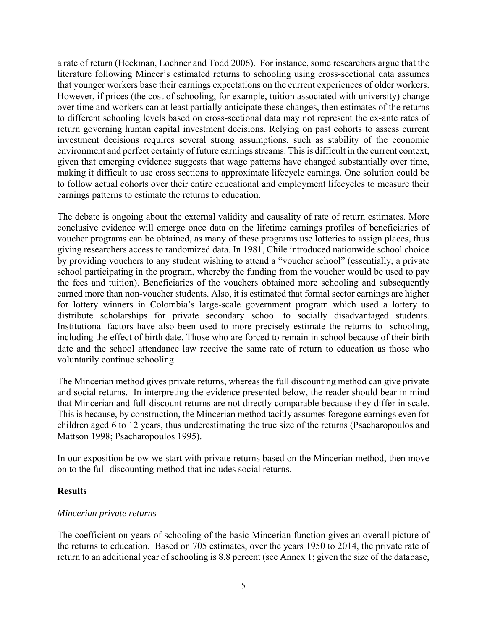a rate of return (Heckman, Lochner and Todd 2006). For instance, some researchers argue that the literature following Mincer's estimated returns to schooling using cross-sectional data assumes that younger workers base their earnings expectations on the current experiences of older workers. However, if prices (the cost of schooling, for example, tuition associated with university) change over time and workers can at least partially anticipate these changes, then estimates of the returns to different schooling levels based on cross-sectional data may not represent the ex-ante rates of return governing human capital investment decisions. Relying on past cohorts to assess current investment decisions requires several strong assumptions, such as stability of the economic environment and perfect certainty of future earnings streams. This is difficult in the current context, given that emerging evidence suggests that wage patterns have changed substantially over time, making it difficult to use cross sections to approximate lifecycle earnings. One solution could be to follow actual cohorts over their entire educational and employment lifecycles to measure their earnings patterns to estimate the returns to education.

The debate is ongoing about the external validity and causality of rate of return estimates. More conclusive evidence will emerge once data on the lifetime earnings profiles of beneficiaries of voucher programs can be obtained, as many of these programs use lotteries to assign places, thus giving researchers access to randomized data. In 1981, Chile introduced nationwide school choice by providing vouchers to any student wishing to attend a "voucher school" (essentially, a private school participating in the program, whereby the funding from the voucher would be used to pay the fees and tuition). Beneficiaries of the vouchers obtained more schooling and subsequently earned more than non-voucher students. Also, it is estimated that formal sector earnings are higher for lottery winners in Colombia's large-scale government program which used a lottery to distribute scholarships for private secondary school to socially disadvantaged students. Institutional factors have also been used to more precisely estimate the returns to schooling, including the effect of birth date. Those who are forced to remain in school because of their birth date and the school attendance law receive the same rate of return to education as those who voluntarily continue schooling.

The Mincerian method gives private returns, whereas the full discounting method can give private and social returns. In interpreting the evidence presented below, the reader should bear in mind that Mincerian and full-discount returns are not directly comparable because they differ in scale. This is because, by construction, the Mincerian method tacitly assumes foregone earnings even for children aged 6 to 12 years, thus underestimating the true size of the returns (Psacharopoulos and Mattson 1998; Psacharopoulos 1995).

In our exposition below we start with private returns based on the Mincerian method, then move on to the full-discounting method that includes social returns.

#### **Results**

#### *Mincerian private returns*

The coefficient on years of schooling of the basic Mincerian function gives an overall picture of the returns to education. Based on 705 estimates, over the years 1950 to 2014, the private rate of return to an additional year of schooling is 8.8 percent (see Annex 1; given the size of the database,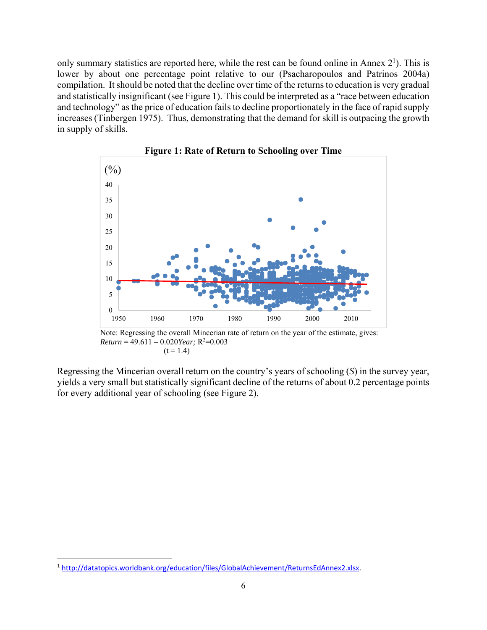only summary statistics are reported here, while the rest can be found online in Annex  $2<sup>1</sup>$ ). This is lower by about one percentage point relative to our (Psacharopoulos and Patrinos 2004a) compilation. It should be noted that the decline over time of the returns to education is very gradual and statistically insignificant (see Figure 1). This could be interpreted as a "race between education and technology" as the price of education fails to decline proportionately in the face of rapid supply increases (Tinbergen 1975). Thus, demonstrating that the demand for skill is outpacing the growth in supply of skills.



**Figure 1: Rate of Return to Schooling over Time** 

Note: Regressing the overall Mincerian rate of return on the year of the estimate, gives:  $Return = 49.611 - 0.020Year; R<sup>2</sup>=0.003$  $(t = 1.4)$ 

Regressing the Mincerian overall return on the country's years of schooling (*S*) in the survey year, yields a very small but statistically significant decline of the returns of about 0.2 percentage points for every additional year of schooling (see Figure 2).

<sup>1</sup> http://datatopics.worldbank.org/education/files/GlobalAchievement/ReturnsEdAnnex2.xlsx.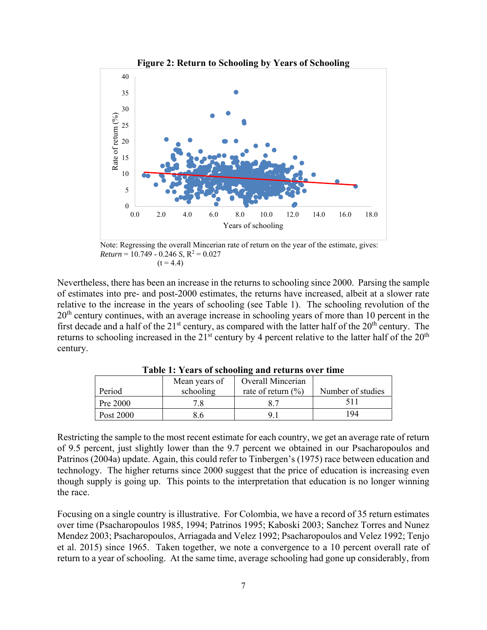

**Figure 2: Return to Schooling by Years of Schooling** 

Note: Regressing the overall Mincerian rate of return on the year of the estimate, gives:  $Return = 10.749 - 0.246 S, R<sup>2</sup> = 0.027$  $(t = 4.4)$ 

Nevertheless, there has been an increase in the returns to schooling since 2000. Parsing the sample of estimates into pre- and post-2000 estimates, the returns have increased, albeit at a slower rate relative to the increase in the years of schooling (see Table 1). The schooling revolution of the  $20<sup>th</sup>$  century continues, with an average increase in schooling years of more than 10 percent in the first decade and a half of the  $21<sup>st</sup>$  century, as compared with the latter half of the  $20<sup>th</sup>$  century. The returns to schooling increased in the  $21<sup>st</sup>$  century by 4 percent relative to the latter half of the  $20<sup>th</sup>$ century.

| Period    | Mean years of<br>schooling | <b>Overall Mincerian</b><br>rate of return $(\% )$ | Number of studies |
|-----------|----------------------------|----------------------------------------------------|-------------------|
| Pre 2000  |                            |                                                    |                   |
| Post 2000 |                            | Q.                                                 | 194               |

**Table 1: Years of schooling and returns over time** 

Restricting the sample to the most recent estimate for each country, we get an average rate of return of 9.5 percent, just slightly lower than the 9.7 percent we obtained in our Psacharopoulos and Patrinos (2004a) update. Again, this could refer to Tinbergen's (1975) race between education and technology. The higher returns since 2000 suggest that the price of education is increasing even though supply is going up. This points to the interpretation that education is no longer winning the race.

Focusing on a single country is illustrative. For Colombia, we have a record of 35 return estimates over time (Psacharopoulos 1985, 1994; Patrinos 1995; Kaboski 2003; Sanchez Torres and Nunez Mendez 2003; Psacharopoulos, Arriagada and Velez 1992; Psacharopoulos and Velez 1992; Tenjo et al. 2015) since 1965. Taken together, we note a convergence to a 10 percent overall rate of return to a year of schooling. At the same time, average schooling had gone up considerably, from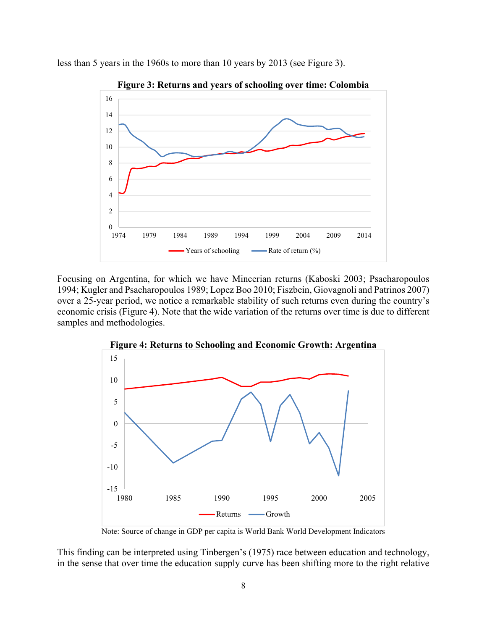

less than 5 years in the 1960s to more than 10 years by 2013 (see Figure 3).

Focusing on Argentina, for which we have Mincerian returns (Kaboski 2003; Psacharopoulos 1994; Kugler and Psacharopoulos 1989; Lopez Boo 2010; Fiszbein, Giovagnoli and Patrinos 2007) over a 25-year period, we notice a remarkable stability of such returns even during the country's economic crisis (Figure 4). Note that the wide variation of the returns over time is due to different samples and methodologies.



**Figure 4: Returns to Schooling and Economic Growth: Argentina** 

Note: Source of change in GDP per capita is World Bank World Development Indicators

This finding can be interpreted using Tinbergen's (1975) race between education and technology, in the sense that over time the education supply curve has been shifting more to the right relative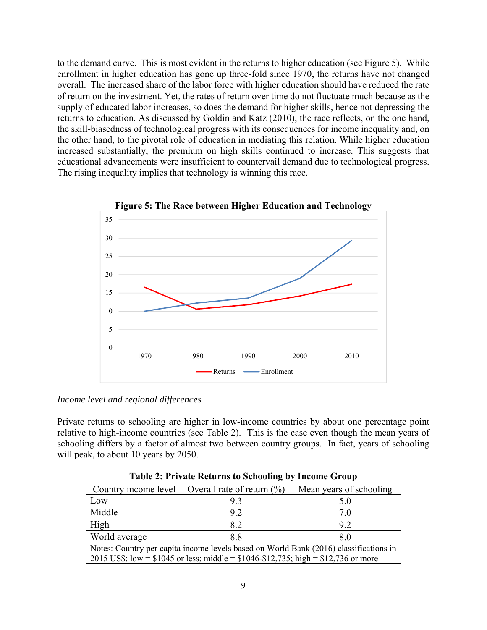to the demand curve. This is most evident in the returns to higher education (see Figure 5). While enrollment in higher education has gone up three-fold since 1970, the returns have not changed overall. The increased share of the labor force with higher education should have reduced the rate of return on the investment. Yet, the rates of return over time do not fluctuate much because as the supply of educated labor increases, so does the demand for higher skills, hence not depressing the returns to education. As discussed by Goldin and Katz (2010), the race reflects, on the one hand, the skill-biasedness of technological progress with its consequences for income inequality and, on the other hand, to the pivotal role of education in mediating this relation. While higher education increased substantially, the premium on high skills continued to increase. This suggests that educational advancements were insufficient to countervail demand due to technological progress. The rising inequality implies that technology is winning this race.





#### *Income level and regional differences*

Private returns to schooling are higher in low-income countries by about one percentage point relative to high-income countries (see Table 2). This is the case even though the mean years of schooling differs by a factor of almost two between country groups. In fact, years of schooling will peak, to about 10 years by 2050.

|                                                                                                                                                                                  | Country income level   Overall rate of return $(\%)$ | Mean years of schooling |  |  |  |  |  |
|----------------------------------------------------------------------------------------------------------------------------------------------------------------------------------|------------------------------------------------------|-------------------------|--|--|--|--|--|
| Low                                                                                                                                                                              | 9.3                                                  |                         |  |  |  |  |  |
| Middle                                                                                                                                                                           | 9.2                                                  | 7.0                     |  |  |  |  |  |
| High                                                                                                                                                                             | 8.2                                                  | 9.2                     |  |  |  |  |  |
| World average                                                                                                                                                                    | 8.8                                                  |                         |  |  |  |  |  |
| Notes: Country per capita income levels based on World Bank (2016) classifications in<br>2015 US\$: low = $$1045$ or less; middle = $$1046 - $12,735$ ; high = $$12,736$ or more |                                                      |                         |  |  |  |  |  |

**Table 2: Private Returns to Schooling by Income Group**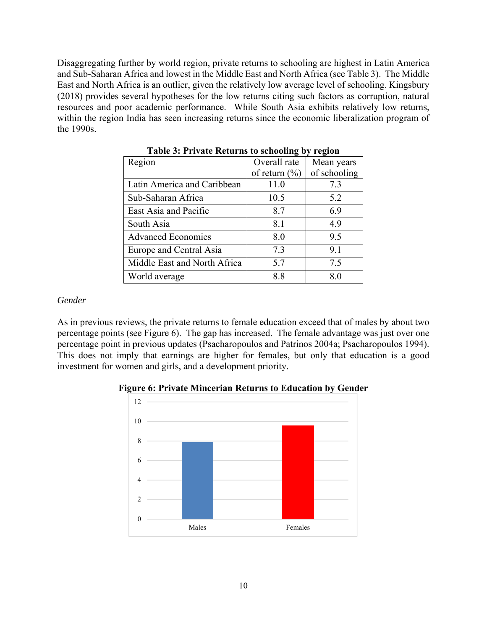Disaggregating further by world region, private returns to schooling are highest in Latin America and Sub-Saharan Africa and lowest in the Middle East and North Africa (see Table 3). The Middle East and North Africa is an outlier, given the relatively low average level of schooling. Kingsbury (2018) provides several hypotheses for the low returns citing such factors as corruption, natural resources and poor academic performance. While South Asia exhibits relatively low returns, within the region India has seen increasing returns since the economic liberalization program of the 1990s.

| Tuble of Therate recent is to sendoming by region |                   |              |  |  |  |  |  |  |  |
|---------------------------------------------------|-------------------|--------------|--|--|--|--|--|--|--|
| Region                                            | Overall rate      | Mean years   |  |  |  |  |  |  |  |
|                                                   | of return $(\% )$ | of schooling |  |  |  |  |  |  |  |
| Latin America and Caribbean                       | 11.0              | 7.3          |  |  |  |  |  |  |  |
| Sub-Saharan Africa                                | 10.5              | 5.2          |  |  |  |  |  |  |  |
| East Asia and Pacific                             | 8.7               | 6.9          |  |  |  |  |  |  |  |
| South Asia                                        | 8.1               | 4.9          |  |  |  |  |  |  |  |
| <b>Advanced Economies</b>                         | 8.0               | 9.5          |  |  |  |  |  |  |  |
| Europe and Central Asia                           | 7.3               | 9.1          |  |  |  |  |  |  |  |
| Middle East and North Africa                      | 5.7               | 7.5          |  |  |  |  |  |  |  |
| World average                                     | 8.8               | 8.0          |  |  |  |  |  |  |  |

**Table 3: Private Returns to schooling by region** 

#### *Gender*

As in previous reviews, the private returns to female education exceed that of males by about two percentage points (see Figure 6). The gap has increased. The female advantage was just over one percentage point in previous updates (Psacharopoulos and Patrinos 2004a; Psacharopoulos 1994). This does not imply that earnings are higher for females, but only that education is a good investment for women and girls, and a development priority.

**Figure 6: Private Mincerian Returns to Education by Gender** 

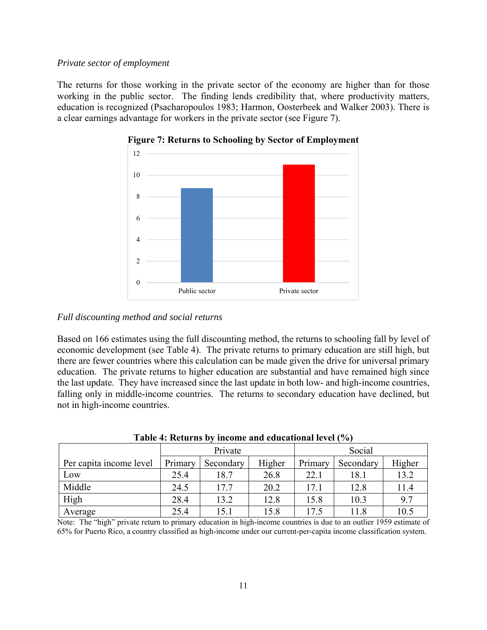#### *Private sector of employment*

The returns for those working in the private sector of the economy are higher than for those working in the public sector. The finding lends credibility that, where productivity matters, education is recognized (Psacharopoulos 1983; Harmon, Oosterbeek and Walker 2003). There is a clear earnings advantage for workers in the private sector (see Figure 7).



**Figure 7: Returns to Schooling by Sector of Employment** 

#### *Full discounting method and social returns*

Based on 166 estimates using the full discounting method, the returns to schooling fall by level of economic development (see Table 4). The private returns to primary education are still high, but there are fewer countries where this calculation can be made given the drive for universal primary education. The private returns to higher education are substantial and have remained high since the last update. They have increased since the last update in both low- and high-income countries, falling only in middle-income countries. The returns to secondary education have declined, but not in high-income countries.

| THOIC IT INVESTING THROMAGE WHEN COMMUNICATION IN THE TOT |         |           |        |         |           |        |  |  |  |  |
|-----------------------------------------------------------|---------|-----------|--------|---------|-----------|--------|--|--|--|--|
|                                                           |         | Private   |        | Social  |           |        |  |  |  |  |
| Per capita income level                                   | Primary | Secondary | Higher | Primary | Secondary | Higher |  |  |  |  |
| Low                                                       | 25.4    | 18.7      | 26.8   | 22.1    | 18.1      | 13.2   |  |  |  |  |
| Middle                                                    | 24.5    | 17.7      | 20.2   | 17.1    | 12.8      | 11.4   |  |  |  |  |
| High                                                      | 28.4    | 13.2      | 12.8   | 15.8    | 10.3      | 9.7    |  |  |  |  |
| Average                                                   | 25.4    | 15.1      | 15.8   | 17.5    | 11.8      | 10.5   |  |  |  |  |

**Table 4: Returns by income and educational level (%)** 

Note: The "high" private return to primary education in high-income countries is due to an outlier 1959 estimate of 65% for Puerto Rico, a country classified as high-income under our current-per-capita income classification system.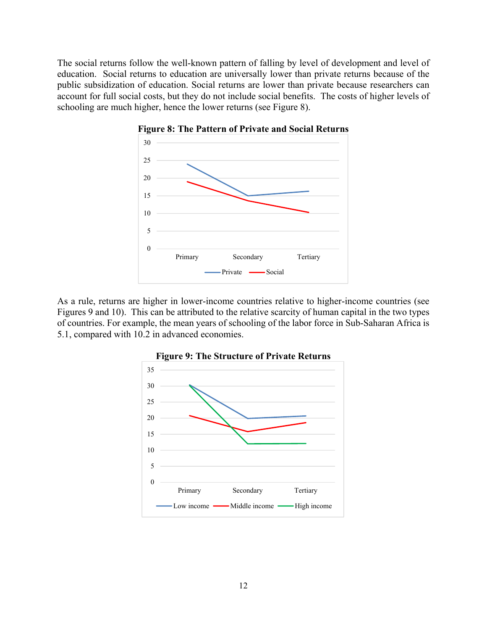The social returns follow the well-known pattern of falling by level of development and level of education. Social returns to education are universally lower than private returns because of the public subsidization of education. Social returns are lower than private because researchers can account for full social costs, but they do not include social benefits. The costs of higher levels of schooling are much higher, hence the lower returns (see Figure 8).





As a rule, returns are higher in lower-income countries relative to higher-income countries (see Figures 9 and 10). This can be attributed to the relative scarcity of human capital in the two types of countries. For example, the mean years of schooling of the labor force in Sub-Saharan Africa is 5.1, compared with 10.2 in advanced economies.



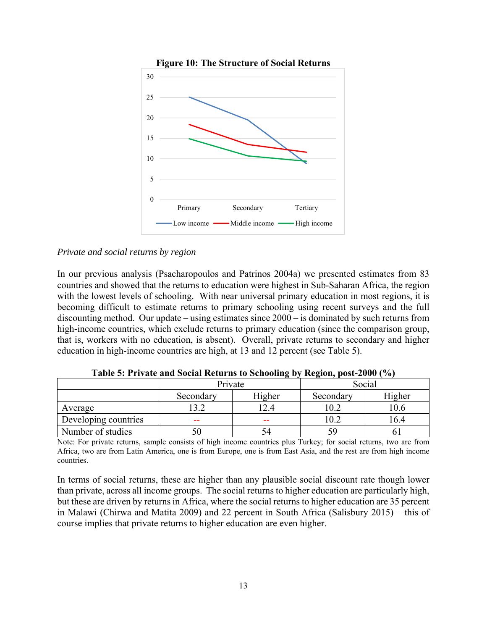

#### *Private and social returns by region*

In our previous analysis (Psacharopoulos and Patrinos 2004a) we presented estimates from 83 countries and showed that the returns to education were highest in Sub-Saharan Africa, the region with the lowest levels of schooling. With near universal primary education in most regions, it is becoming difficult to estimate returns to primary schooling using recent surveys and the full discounting method. Our update – using estimates since 2000 – is dominated by such returns from high-income countries, which exclude returns to primary education (since the comparison group, that is, workers with no education, is absent). Overall, private returns to secondary and higher education in high-income countries are high, at 13 and 12 percent (see Table 5).

|                      | $\cdot$   |        |           |        |  |  |
|----------------------|-----------|--------|-----------|--------|--|--|
|                      | Private   |        | Social    |        |  |  |
|                      | Secondary | Higher | Secondary | Higher |  |  |
| Average              | 13.2      | 12.4   | 10.2      | 10.6   |  |  |
| Developing countries | --        | --     | 10.2      | 16.4   |  |  |
| Number of studies    | эU        | 54     | 7y        |        |  |  |

**Table 5: Private and Social Returns to Schooling by Region, post-2000 (%)** 

Note: For private returns, sample consists of high income countries plus Turkey; for social returns, two are from Africa, two are from Latin America, one is from Europe, one is from East Asia, and the rest are from high income countries.

In terms of social returns, these are higher than any plausible social discount rate though lower than private, across all income groups. The social returns to higher education are particularly high, but these are driven by returns in Africa, where the social returns to higher education are 35 percent in Malawi (Chirwa and Matita 2009) and 22 percent in South Africa (Salisbury 2015) – this of course implies that private returns to higher education are even higher.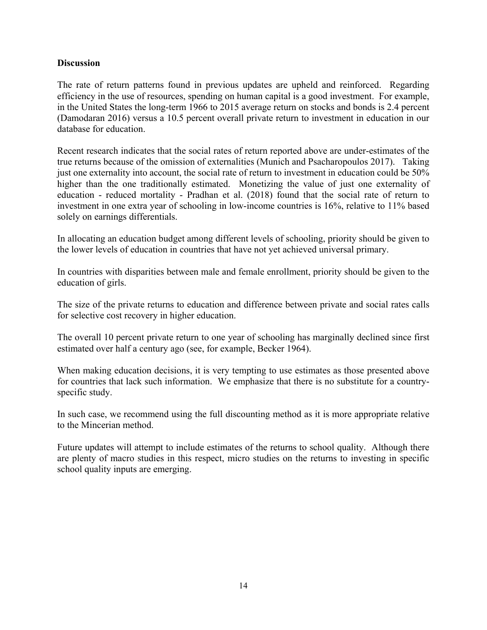#### **Discussion**

The rate of return patterns found in previous updates are upheld and reinforced. Regarding efficiency in the use of resources, spending on human capital is a good investment. For example, in the United States the long-term 1966 to 2015 average return on stocks and bonds is 2.4 percent (Damodaran 2016) versus a 10.5 percent overall private return to investment in education in our database for education.

Recent research indicates that the social rates of return reported above are under-estimates of the true returns because of the omission of externalities (Munich and Psacharopoulos 2017). Taking just one externality into account, the social rate of return to investment in education could be 50% higher than the one traditionally estimated. Monetizing the value of just one externality of education - reduced mortality - Pradhan et al. (2018) found that the social rate of return to investment in one extra year of schooling in low-income countries is 16%, relative to 11% based solely on earnings differentials.

In allocating an education budget among different levels of schooling, priority should be given to the lower levels of education in countries that have not yet achieved universal primary.

In countries with disparities between male and female enrollment, priority should be given to the education of girls.

The size of the private returns to education and difference between private and social rates calls for selective cost recovery in higher education.

The overall 10 percent private return to one year of schooling has marginally declined since first estimated over half a century ago (see, for example, Becker 1964).

When making education decisions, it is very tempting to use estimates as those presented above for countries that lack such information. We emphasize that there is no substitute for a countryspecific study.

In such case, we recommend using the full discounting method as it is more appropriate relative to the Mincerian method.

Future updates will attempt to include estimates of the returns to school quality. Although there are plenty of macro studies in this respect, micro studies on the returns to investing in specific school quality inputs are emerging.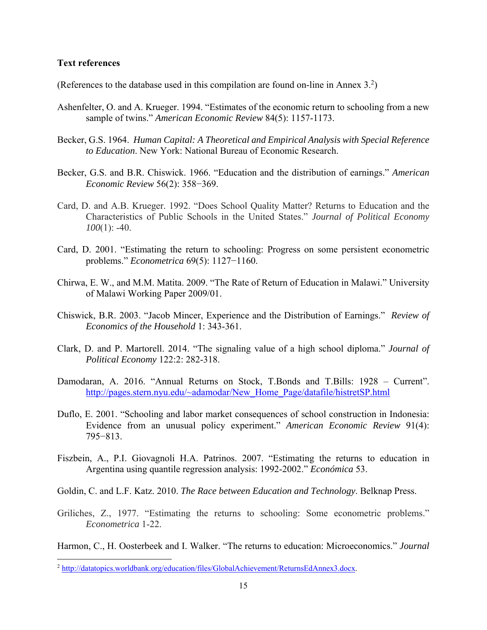#### **Text references**

(References to the database used in this compilation are found on-line in Annex  $3<sup>2</sup>$ )

- Ashenfelter, O. and A. Krueger. 1994. "Estimates of the economic return to schooling from a new sample of twins." *American Economic Review* 84(5): 1157-1173.
- Becker, G.S. 1964. *Human Capital: A Theoretical and Empirical Analysis with Special Reference to Education*. New York: National Bureau of Economic Research.
- Becker, G.S. and B.R. Chiswick. 1966. "Education and the distribution of earnings." *American Economic Review* 56(2): 358−369.
- Card, D. and A.B. Krueger. 1992. "Does School Quality Matter? Returns to Education and the Characteristics of Public Schools in the United States." *Journal of Political Economy 100*(1): -40.
- Card, D. 2001. "Estimating the return to schooling: Progress on some persistent econometric problems." *Econometrica* 69(5): 1127−1160.
- Chirwa, E. W., and M.M. Matita. 2009. "The Rate of Return of Education in Malawi." University of Malawi Working Paper 2009/01.
- Chiswick, B.R. 2003. "Jacob Mincer, Experience and the Distribution of Earnings." *Review of Economics of the Household* 1: 343-361.
- Clark, D. and P. Martorell. 2014. "The signaling value of a high school diploma." *Journal of Political Economy* 122:2: 282-318.
- Damodaran, A. 2016. "Annual Returns on Stock, T.Bonds and T.Bills: 1928 Current". http://pages.stern.nyu.edu/~adamodar/New\_Home\_Page/datafile/histretSP.html
- Duflo, E. 2001. "Schooling and labor market consequences of school construction in Indonesia: Evidence from an unusual policy experiment." *American Economic Review* 91(4): 795−813.
- Fiszbein, A., P.I. Giovagnoli H.A. Patrinos. 2007. "Estimating the returns to education in Argentina using quantile regression analysis: 1992-2002." *Económica* 53.

Goldin, C. and L.F. Katz. 2010. *The Race between Education and Technology*. Belknap Press.

Griliches, Z., 1977. "Estimating the returns to schooling: Some econometric problems." *Econometrica* 1-22.

Harmon, C., H. Oosterbeek and I. Walker. "The returns to education: Microeconomics." *Journal* 

<sup>2</sup> http://datatopics.worldbank.org/education/files/GlobalAchievement/ReturnsEdAnnex3.docx.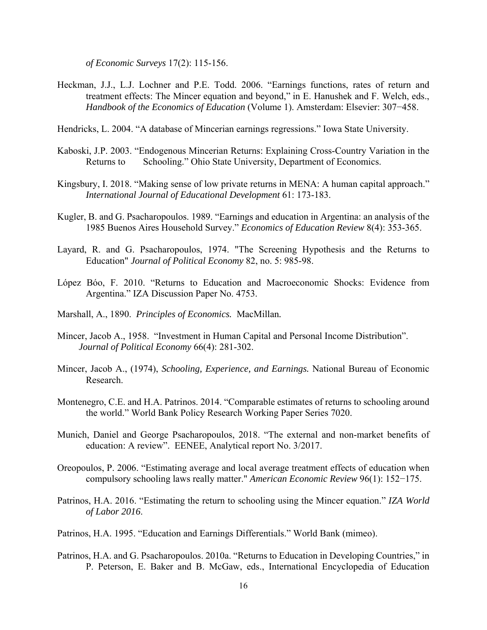*of Economic Surveys* 17(2): 115-156.

Heckman, J.J., L.J. Lochner and P.E. Todd. 2006. "Earnings functions, rates of return and treatment effects: The Mincer equation and beyond," in E. Hanushek and F. Welch, eds., *Handbook of the Economics of Education* (Volume 1). Amsterdam: Elsevier: 307−458.

Hendricks, L. 2004. "A database of Mincerian earnings regressions." Iowa State University.

- Kaboski, J.P. 2003. "Endogenous Mincerian Returns: Explaining Cross-Country Variation in the Returns to Schooling." Ohio State University, Department of Economics.
- Kingsbury, I. 2018. "Making sense of low private returns in MENA: A human capital approach." *International Journal of Educational Development* 61: 173-183.
- Kugler, B. and G. Psacharopoulos. 1989. "Earnings and education in Argentina: an analysis of the 1985 Buenos Aires Household Survey." *Economics of Education Review* 8(4): 353-365.
- Layard, R. and G. Psacharopoulos, 1974. "The Screening Hypothesis and the Returns to Education" *Journal of Political Economy* 82, no. 5: 985-98.
- López Bóo, F. 2010. "Returns to Education and Macroeconomic Shocks: Evidence from Argentina." IZA Discussion Paper No. 4753.
- Marshall, A., 1890. *Principles of Economics.* MacMillan*.*
- Mincer, Jacob A., 1958. "Investment in Human Capital and Personal Income Distribution". *Journal of Political Economy* 66(4): 281-302.
- Mincer, Jacob A., (1974), *Schooling, Experience, and Earnings.* National Bureau of Economic Research.
- Montenegro, C.E. and H.A. Patrinos. 2014. "Comparable estimates of returns to schooling around the world." World Bank Policy Research Working Paper Series 7020.
- Munich, Daniel and George Psacharopoulos, 2018. "The external and non-market benefits of education: A review". EENEE, Analytical report No. 3/2017.
- Oreopoulos, P. 2006. "Estimating average and local average treatment effects of education when compulsory schooling laws really matter." *American Economic Review* 96(1): 152−175.
- Patrinos, H.A. 2016. "Estimating the return to schooling using the Mincer equation." *IZA World of Labor 2016*.
- Patrinos, H.A. 1995. "Education and Earnings Differentials." World Bank (mimeo).
- Patrinos, H.A. and G. Psacharopoulos. 2010a. "Returns to Education in Developing Countries," in P. Peterson, E. Baker and B. McGaw, eds., International Encyclopedia of Education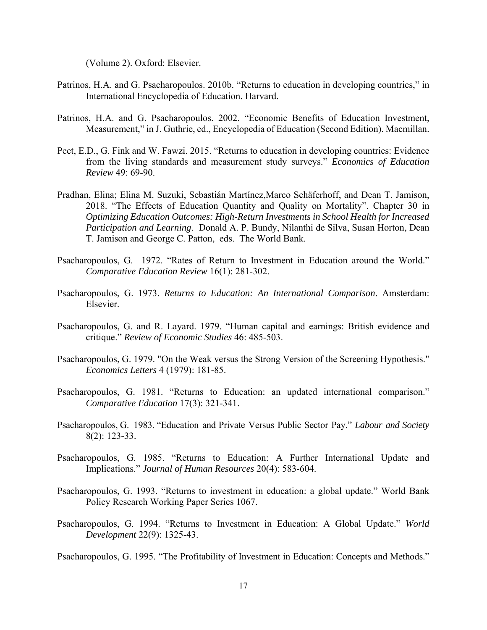(Volume 2). Oxford: Elsevier.

- Patrinos, H.A. and G. Psacharopoulos. 2010b. "Returns to education in developing countries," in International Encyclopedia of Education. Harvard.
- Patrinos, H.A. and G. Psacharopoulos. 2002. "Economic Benefits of Education Investment, Measurement," in J. Guthrie, ed., Encyclopedia of Education (Second Edition). Macmillan.
- Peet, E.D., G. Fink and W. Fawzi. 2015. "Returns to education in developing countries: Evidence from the living standards and measurement study surveys." *Economics of Education Review* 49: 69-90.
- Pradhan, Elina; Elina M. Suzuki, Sebastián Martínez,Marco Schäferhoff, and Dean T. Jamison, 2018. "The Effects of Education Quantity and Quality on Mortality". Chapter 30 in *Optimizing Education Outcomes: High-Return Investments in School Health for Increased Participation and Learning*. Donald A. P. Bundy, Nilanthi de Silva, Susan Horton, Dean T. Jamison and George C. Patton, eds. The World Bank.
- Psacharopoulos, G. 1972. "Rates of Return to Investment in Education around the World." *Comparative Education Review* 16(1): 281-302.
- Psacharopoulos, G. 1973. *Returns to Education: An International Comparison*. Amsterdam: Elsevier.
- Psacharopoulos, G. and R. Layard. 1979. "Human capital and earnings: British evidence and critique." *Review of Economic Studies* 46: 485-503.
- Psacharopoulos, G. 1979. "On the Weak versus the Strong Version of the Screening Hypothesis." *Economics Letters* 4 (1979): 181-85.
- Psacharopoulos, G. 1981. "Returns to Education: an updated international comparison." *Comparative Education* 17(3): 321-341.
- Psacharopoulos, G. 1983. "Education and Private Versus Public Sector Pay." *Labour and Society*  8(2): 123-33.
- Psacharopoulos, G. 1985. "Returns to Education: A Further International Update and Implications." *Journal of Human Resources* 20(4): 583-604.
- Psacharopoulos, G. 1993. "Returns to investment in education: a global update." World Bank Policy Research Working Paper Series 1067.
- Psacharopoulos, G. 1994. "Returns to Investment in Education: A Global Update." *World Development* 22(9): 1325-43.

Psacharopoulos, G. 1995. "The Profitability of Investment in Education: Concepts and Methods."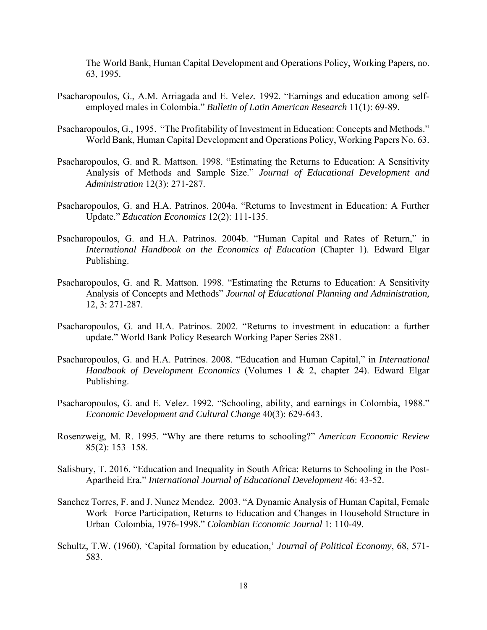The World Bank, Human Capital Development and Operations Policy, Working Papers, no. 63, 1995.

- Psacharopoulos, G., A.M. Arriagada and E. Velez. 1992. "Earnings and education among selfemployed males in Colombia." *Bulletin of Latin American Research* 11(1): 69-89.
- Psacharopoulos, G., 1995. "The Profitability of Investment in Education: Concepts and Methods." World Bank, Human Capital Development and Operations Policy, Working Papers No. 63.
- Psacharopoulos, G. and R. Mattson. 1998. "Estimating the Returns to Education: A Sensitivity Analysis of Methods and Sample Size." *Journal of Educational Development and Administration* 12(3): 271-287.
- Psacharopoulos, G. and H.A. Patrinos. 2004a. "Returns to Investment in Education: A Further Update." *Education Economics* 12(2): 111-135.
- Psacharopoulos, G. and H.A. Patrinos. 2004b. "Human Capital and Rates of Return," in *International Handbook on the Economics of Education* (Chapter 1). Edward Elgar Publishing.
- Psacharopoulos, G. and R. Mattson. 1998. "Estimating the Returns to Education: A Sensitivity Analysis of Concepts and Methods" *Journal of Educational Planning and Administration,* 12, 3: 271-287.
- Psacharopoulos, G. and H.A. Patrinos. 2002. "Returns to investment in education: a further update." World Bank Policy Research Working Paper Series 2881.
- Psacharopoulos, G. and H.A. Patrinos. 2008. "Education and Human Capital," in *International Handbook of Development Economics* (Volumes 1 & 2, chapter 24). Edward Elgar Publishing.
- Psacharopoulos, G. and E. Velez. 1992. "Schooling, ability, and earnings in Colombia, 1988." *Economic Development and Cultural Change* 40(3): 629-643.
- Rosenzweig, M. R. 1995. "Why are there returns to schooling?" *American Economic Review* 85(2): 153−158.
- Salisbury, T. 2016. "Education and Inequality in South Africa: Returns to Schooling in the Post-Apartheid Era." *International Journal of Educational Development* 46: 43-52.
- Sanchez Torres, F. and J. Nunez Mendez. 2003. "A Dynamic Analysis of Human Capital, Female Work Force Participation, Returns to Education and Changes in Household Structure in Urban Colombia, 1976-1998." *Colombian Economic Journal* 1: 110-49.
- Schultz, T.W. (1960), 'Capital formation by education,' *Journal of Political Economy*, 68, 571- 583.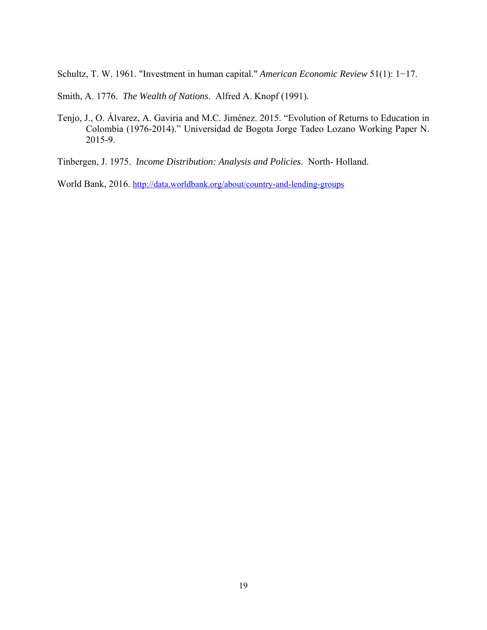Schultz, T. W. 1961. "Investment in human capital." *American Economic Review* 51(1): 1−17.

Smith, A. 1776. *The Wealth of Nations*. Alfred A. Knopf (1991).

Tenjo, J., O. Álvarez, A. Gaviria and M.C. Jiménez. 2015. "Evolution of Returns to Education in Colombia (1976-2014)." Universidad de Bogota Jorge Tadeo Lozano Working Paper N. 2015-9.

Tinbergen, J. 1975. *Income Distribution: Analysis and Policies*. North- Holland.

World Bank, 2016. http://data.worldbank.org/about/country-and-lending-groups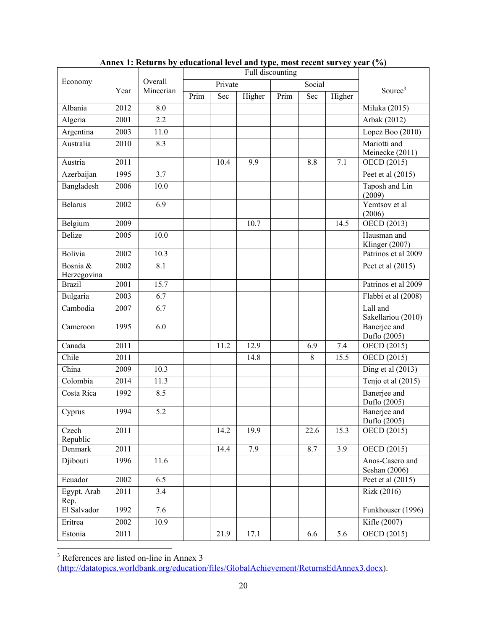|                               |      |                  | Full discounting |         |        |      |        |        |                                  |
|-------------------------------|------|------------------|------------------|---------|--------|------|--------|--------|----------------------------------|
| Economy                       |      | Overall          |                  | Private |        |      | Social |        |                                  |
|                               | Year | Mincerian        | Prim             | Sec     | Higher | Prim | Sec    | Higher | Source <sup>3</sup>              |
| Albania                       | 2012 | 8.0              |                  |         |        |      |        |        | Miluka (2015)                    |
| Algeria                       | 2001 | 2.2              |                  |         |        |      |        |        | Arbak (2012)                     |
| Argentina                     | 2003 | 11.0             |                  |         |        |      |        |        | Lopez Boo (2010)                 |
| Australia                     | 2010 | 8.3              |                  |         |        |      |        |        | Mariotti and                     |
|                               |      |                  |                  |         |        |      |        |        | Meinecke (2011)                  |
| Austria                       | 2011 |                  |                  | 10.4    | 9.9    |      | 8.8    | 7.1    | OECD (2015)                      |
| Azerbaijan                    | 1995 | 3.7              |                  |         |        |      |        |        | Peet et al $(2015)$              |
| Bangladesh                    | 2006 | 10.0             |                  |         |        |      |        |        | Taposh and Lin<br>(2009)         |
| <b>Belarus</b>                | 2002 | $\overline{6.9}$ |                  |         |        |      |        |        | Yemtsov et al<br>(2006)          |
| Belgium                       | 2009 |                  |                  |         | 10.7   |      |        | 14.5   | OECD $\overline{(2013)}$         |
| <b>Belize</b>                 | 2005 | 10.0             |                  |         |        |      |        |        | Hausman and<br>Klinger (2007)    |
| Bolivia                       | 2002 | 10.3             |                  |         |        |      |        |        | Patrinos et al 2009              |
| Bosnia &<br>Herzegovina       | 2002 | 8.1              |                  |         |        |      |        |        | Peet et al $(2015)$              |
| <b>Brazil</b>                 | 2001 | 15.7             |                  |         |        |      |        |        | Patrinos et al 2009              |
| <b>Bulgaria</b>               | 2003 | 6.7              |                  |         |        |      |        |        | Flabbi et al (2008)              |
| $\overline{\text{C}}$ ambodia | 2007 | 6.7              |                  |         |        |      |        |        | Lall and<br>Sakellariou (2010)   |
| Cameroon                      | 1995 | 6.0              |                  |         |        |      |        |        | Banerjee and<br>Duflo (2005)     |
| Canada                        | 2011 |                  |                  | 11.2    | 12.9   |      | 6.9    | 7.4    | $\overline{OECD}$ (2015)         |
| Chile                         | 2011 |                  |                  |         | 14.8   |      | 8      | 15.5   | OECD (2015)                      |
| China                         | 2009 | 10.3             |                  |         |        |      |        |        | Ding et al $(2013)$              |
| Colombia                      | 2014 | 11.3             |                  |         |        |      |        |        | Tenjo et al (2015)               |
| Costa Rica                    | 1992 | 8.5              |                  |         |        |      |        |        | Banerjee and<br>Duflo (2005)     |
| Cyprus                        | 1994 | 5.2              |                  |         |        |      |        |        | Banerjee and<br>Duflo (2005)     |
| Czech<br>Republic             | 2011 |                  |                  | 14.2    | 19.9   |      | 22.6   | 15.3   | OECD (2015)                      |
| Denmark                       | 2011 |                  |                  | 14.4    | 7.9    |      | 8.7    | 3.9    | OECD (2015)                      |
| Djibouti                      | 1996 | 11.6             |                  |         |        |      |        |        | Anos-Casero and<br>Seshan (2006) |
| Ecuador                       | 2002 | 6.5              |                  |         |        |      |        |        | Peet et al $(2015)$              |
| Egypt, Arab<br>Rep.           | 2011 | 3.4              |                  |         |        |      |        |        | Rizk (2016)                      |
| El Salvador                   | 1992 | 7.6              |                  |         |        |      |        |        | Funkhouser (1996)                |
| Eritrea                       | 2002 | 10.9             |                  |         |        |      |        |        | Kifle (2007)                     |
| Estonia                       | 2011 |                  |                  | 21.9    | 17.1   |      | 6.6    | 5.6    | OECD (2015)                      |

**Annex 1: Returns by educational level and type, most recent survey year (%)** 

3 References are listed on-line in Annex 3

(http://datatopics.worldbank.org/education/files/GlobalAchievement/ReturnsEdAnnex3.docx).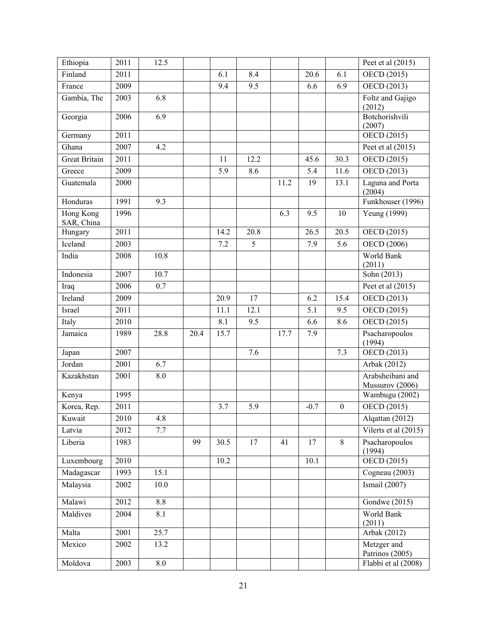| Ethiopia                | 2011 | 12.5       |      |      |      |      |                 |                  | Peet et al $(2015)$                 |
|-------------------------|------|------------|------|------|------|------|-----------------|------------------|-------------------------------------|
| Finland                 | 2011 |            |      | 6.1  | 8.4  |      | 20.6            | 6.1              | OECD (2015)                         |
| France                  | 2009 |            |      | 9.4  | 9.5  |      | 6.6             | 6.9              | OECD (2013)                         |
| Gambia, The             | 2003 | 6.8        |      |      |      |      |                 |                  | Foltz and Gajigo<br>(2012)          |
| Georgia                 | 2006 | 6.9        |      |      |      |      |                 |                  | Botchorishvili<br>(2007)            |
| Germany                 | 2011 |            |      |      |      |      |                 |                  | OECD (2015)                         |
| Ghana                   | 2007 | 4.2        |      |      |      |      |                 |                  | Peet et al $(2015)$                 |
| <b>Great Britain</b>    | 2011 |            |      | 11   | 12.2 |      | 45.6            | 30.3             | OECD (2015)                         |
| Greece                  | 2009 |            |      | 5.9  | 8.6  |      | 5.4             | 11.6             | OECD (2013)                         |
| Guatemala               | 2000 |            |      |      |      | 11.2 | 19              | 13.1             | Laguna and Porta<br>(2004)          |
| Honduras                | 1991 | 9.3        |      |      |      |      |                 |                  | Funkhouser (1996)                   |
| Hong Kong<br>SAR, China | 1996 |            |      |      |      | 6.3  | 9.5             | 10               | Yeung (1999)                        |
| Hungary                 | 2011 |            |      | 14.2 | 20.8 |      | 26.5            | 20.5             | OECD (2015)                         |
| Iceland                 | 2003 |            |      | 7.2  | 5    |      | 7.9             | 5.6              | OECD (2006)                         |
| India                   | 2008 | 10.8       |      |      |      |      |                 |                  | World Bank<br>(2011)                |
| Indonesia               | 2007 | 10.7       |      |      |      |      |                 |                  | Sohn (2013)                         |
| Iraq                    | 2006 | 0.7        |      |      |      |      |                 |                  | Peet et al $(2015)$                 |
| Ireland                 | 2009 |            |      | 20.9 | 17   |      | 6.2             | 15.4             | OECD (2013)                         |
| Israel                  | 2011 |            |      | 11.1 | 12.1 |      | 5.1             | 9.5              | OECD (2015)                         |
| Italy                   | 2010 |            |      | 8.1  | 9.5  |      | 6.6             | 8.6              | OECD (2015)                         |
| Jamaica                 | 1989 | 28.8       | 20.4 | 15.7 |      | 17.7 | 7.9             |                  | Psacharopoulos<br>(1994)            |
| Japan                   | 2007 |            |      |      | 7.6  |      |                 | 7.3              | OECD (2013)                         |
| Jordan                  | 2001 | 6.7        |      |      |      |      |                 |                  | Arbak (2012)                        |
| Kazakhstan              | 2001 | 8.0        |      |      |      |      |                 |                  | Arabsheibani and<br>Mussurov (2006) |
| Kenya                   | 1995 |            |      |      |      |      |                 |                  | Wambugu (2002)                      |
| Korea, Rep.             | 2011 |            |      | 3.7  | 5.9  |      | $-0.7$          | $\boldsymbol{0}$ | OECD (2015)                         |
| Kuwait                  | 2010 | 4.8        |      |      |      |      |                 |                  | Alqattan (2012)                     |
| Latvia                  | 2012 | 7.7        |      |      |      |      |                 |                  | Vilerts et al (2015)                |
| Liberia                 | 1983 |            | 99   | 30.5 | 17   | 41   | $\overline{17}$ | $\overline{8}$   | Psacharopoulos<br>(1994)            |
| Luxembourg              | 2010 |            |      | 10.2 |      |      | 10.1            |                  | OECD(2015)                          |
| Madagascar              | 1993 | 15.1       |      |      |      |      |                 |                  | Cogneau (2003)                      |
| Malaysia                | 2002 | 10.0       |      |      |      |      |                 |                  | Ismail $(2007)$                     |
| Malawi                  | 2012 | 8.8        |      |      |      |      |                 |                  | Gondwe (2015)                       |
| Maldives                | 2004 | 8.1        |      |      |      |      |                 |                  | World Bank<br>(2011)                |
| Malta                   | 2001 | 25.7       |      |      |      |      |                 |                  | Arbak (2012)                        |
| Mexico                  | 2002 | 13.2       |      |      |      |      |                 |                  | Metzger and<br>Patrinos (2005)      |
| Moldova                 | 2003 | $\ \, 8.0$ |      |      |      |      |                 |                  | Flabbi et al (2008)                 |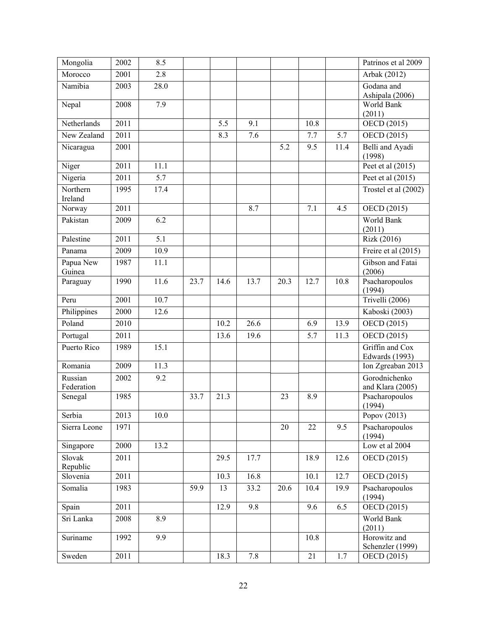| Mongolia              | 2002 | 8.5  |      |      |                   |      |      |      | Patrinos et al 2009                      |
|-----------------------|------|------|------|------|-------------------|------|------|------|------------------------------------------|
| Morocco               | 2001 | 2.8  |      |      |                   |      |      |      | Arbak (2012)                             |
| Namibia               | 2003 | 28.0 |      |      |                   |      |      |      | Godana and<br>Ashipala (2006)            |
| Nepal                 | 2008 | 7.9  |      |      |                   |      |      |      | World Bank                               |
| Netherlands           | 2011 |      |      | 5.5  | 9.1               |      | 10.8 |      | (2011)<br>OECD (2015)                    |
| New Zealand           | 2011 |      |      | 8.3  | 7.6               |      | 7.7  | 5.7  | OECD (2015)                              |
| Nicaragua             | 2001 |      |      |      |                   | 5.2  | 9.5  | 11.4 | Belli and Ayadi                          |
|                       | 2011 | 11.1 |      |      |                   |      |      |      | (1998)<br>Peet et al $(2015)$            |
| Niger                 |      |      |      |      |                   |      |      |      |                                          |
| Nigeria               | 2011 | 5.7  |      |      |                   |      |      |      | Peet et al (2015)                        |
| Northern<br>Ireland   | 1995 | 17.4 |      |      |                   |      |      |      | Trostel et al (2002)                     |
| Norway                | 2011 |      |      |      | 8.7               |      | 7.1  | 4.5  | OECD (2015)                              |
| Pakistan              | 2009 | 6.2  |      |      |                   |      |      |      | World Bank                               |
| Palestine             | 2011 | 5.1  |      |      |                   |      |      |      | (2011)<br>Rizk (2016)                    |
| Panama                | 2009 | 10.9 |      |      |                   |      |      |      | Freire et al (2015)                      |
| Papua New             | 1987 | 11.1 |      |      |                   |      |      |      | Gibson and Fatai                         |
| Guinea                |      |      |      |      |                   |      |      |      | (2006)                                   |
| Paraguay              | 1990 | 11.6 | 23.7 | 14.6 | $\overline{13.7}$ | 20.3 | 12.7 | 10.8 | Psacharopoulos<br>(1994)                 |
| Peru                  | 2001 | 10.7 |      |      |                   |      |      |      | Trivelli (2006)                          |
| Philippines           | 2000 | 12.6 |      |      |                   |      |      |      | Kaboski (2003)                           |
| Poland                | 2010 |      |      | 10.2 | 26.6              |      | 6.9  | 13.9 | OECD (2015)                              |
| Portugal              | 2011 |      |      | 13.6 | 19.6              |      | 5.7  | 11.3 | OECD (2015)                              |
| Puerto Rico           | 1989 | 15.1 |      |      |                   |      |      |      | Griffin and Cox<br><b>Edwards</b> (1993) |
| Romania               | 2009 | 11.3 |      |      |                   |      |      |      | Ion Zgreaban 2013                        |
| Russian<br>Federation | 2002 | 9.2  |      |      |                   |      |      |      | Gorodnichenko<br>and Klara (2005)        |
| Senegal               | 1985 |      | 33.7 | 21.3 |                   | 23   | 8.9  |      | Psacharopoulos<br>(1994)                 |
| Serbia                | 2013 | 10.0 |      |      |                   |      |      |      | Popov (2013)                             |
| Sierra Leone          | 1971 |      |      |      |                   | 20   | 22   | 9.5  | Psacharopoulos<br>(1994)                 |
| Singapore             | 2000 | 13.2 |      |      |                   |      |      |      | Low et al $2004$                         |
| Slovak<br>Republic    | 2011 |      |      | 29.5 | 17.7              |      | 18.9 | 12.6 | OECD (2015)                              |
| Slovenia              | 2011 |      |      | 10.3 | 16.8              |      | 10.1 | 12.7 | OECD (2015)                              |
| Somalia               | 1983 |      | 59.9 | 13   | 33.2              | 20.6 | 10.4 | 19.9 | Psacharopoulos<br>(1994)                 |
| Spain                 | 2011 |      |      | 12.9 | 9.8               |      | 9.6  | 6.5  | OECD(2015)                               |
| Sri Lanka             | 2008 | 8.9  |      |      |                   |      |      |      | World Bank                               |
|                       |      |      |      |      |                   |      |      |      | (2011)                                   |
| Suriname              | 1992 | 9.9  |      |      |                   |      | 10.8 |      | Horowitz and<br>Schenzler (1999)         |
| Sweden                | 2011 |      |      | 18.3 | 7.8               |      | 21   | 1.7  | OECD (2015)                              |